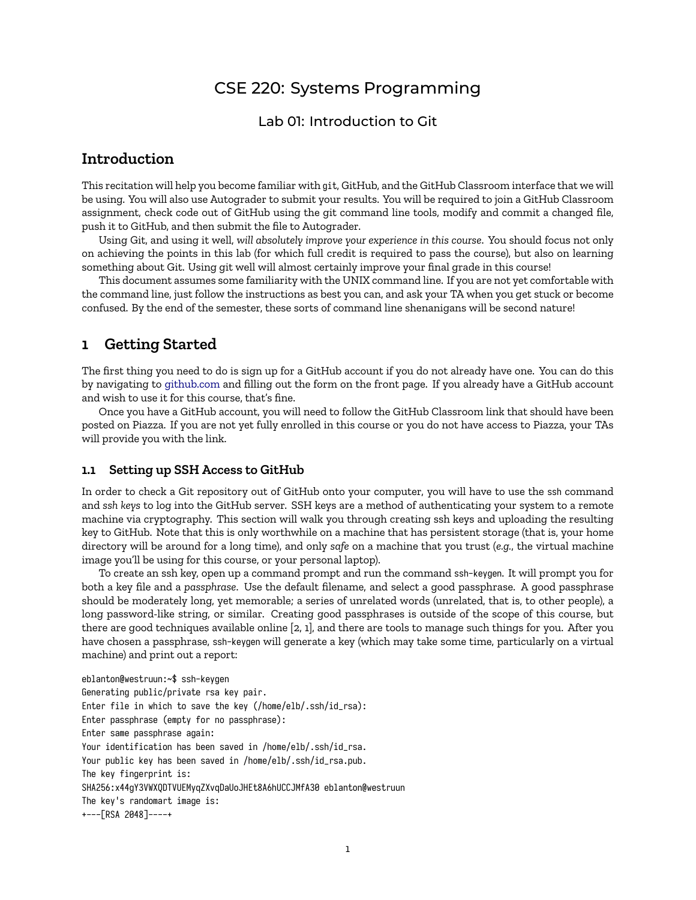# CSE 220: Systems Programming

### Lab 01: Introduction to Git

## **Introduction**

This recitation will help you become familiar with git, GitHub, and the GitHub Classroom interface that we will be using. You will also use Autograder to submit your results. You will be required to join a GitHub Classroom assignment, check code out of GitHub using the git command line tools, modify and commit a changed file, push it to GitHub, and then submit the file to Autograder.

Using Git, and using it well, *will absolutely improve your experience in this course*. You should focus not only on achieving the points in this lab (for which full credit is required to pass the course), but also on learning something about Git. Using git well will almost certainly improve your final grade in this course!

This document assumes some familiarity with the UNIX command line. If you are not yet comfortable with the command line, just follow the instructions as best you can, and ask your TA when you get stuck or become confused. By the end of the semester, these sorts of command line shenanigans will be second nature!

### **1 Getting Started**

The first thing you need to do is sign up for a GitHub account if you do not already have one. You can do this by navigating to <github.com> and filling out the form on the front page. If you already have a GitHub account and wish to use it for this course, that's fine.

Once you have a GitHub account, you will need to follow the GitHub Classroom link that should have been posted on Piazza. If you are not yet fully enrolled in this course or you do not have access to Piazza, your TAs will provide you with the link.

#### **1.1 Setting up SSH Access to GitHub**

In order to check a Git repository out of GitHub onto your computer, you will have to use the ssh command and *ssh keys* to log into the GitHub server. SSH keys are a method of authenticating your system to a remote machine via cryptography. This section will walk you through creating ssh keys and uploading the resulting key to GitHub. Note that this is only worthwhile on a machine that has persistent storage (that is, your home directory will be around for a long time), and only *safe* on a machine that you trust (*e.g.*, the virtual machine image you'll be using for this course, or your personal laptop).

To create an ssh key, open up a command prompt and run the command ssh-keygen. It will prompt you for both a key file and a *passphrase*. Use the default filename, and select a good passphrase. A good passphrase should be moderately long, yet memorable; a series of unrelated words (unrelated, that is, to other people), a long password-like string, or similar. Creating good passphrases is outside of the scope of this course, but there are good techniques available online [\[2,](#page-2-0) [1\]](#page-2-1), and there are tools to manage such things for you. After you have chosen a passphrase, ssh-keygen will generate a key (which may take some time, particularly on a virtual machine) and print out a report:

```
eblanton@westruun:~$ ssh-keygen
Generating public/private rsa key pair.
Enter file in which to save the key (/home/elb/.ssh/id_rsa):
Enter passphrase (empty for no passphrase):
Enter same passphrase again:
Your identification has been saved in /home/elb/.ssh/id_rsa.
Your public key has been saved in /home/elb/.ssh/id_rsa.pub.
The key fingerprint is:
SHA256:x44gY3VWXQDTVUEMyqZXvqDaUoJHEt8A6hUCCJMfA30 eblanton@westruun
The key's randomart image is:
+---[RSA 2048]----+
```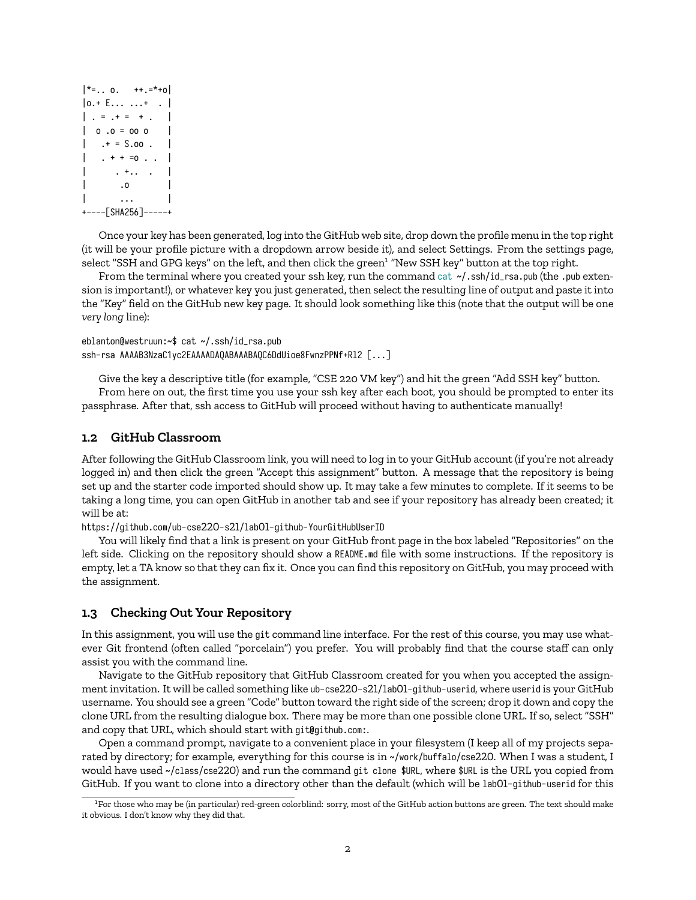```
|*=.. o. |* + * = * + 0 |*|0.+ E... ...+ .
| \cdot | = | + | = | + |.
| 0.0 = 000 |.* = $.00 . |
    . + + = 0 . . .\cdot +.. \cdot .
          \overline{\phantom{a}} . O
          | ... |
+----[SHA256]-----+
```
Once your key has been generated, log into the GitHub web site, drop down the profile menu in the top right (it will be your profile picture with a dropdown arrow beside it), and select Settings. From the settings page, select "SSH and GPG keys" on the left, and then click the green<sup>[1](#page-1-0)</sup> "New SSH key" button at the top right.

From the terminal where you created your ssh key, run the command cat  $\sim$ /.ssh/id\_rsa.pub (the .pub extension is important!), or whatever key you just generated, then select the resulting line of output and paste it into the "Key" field on the GitHub new key page. It should look something like this (note that the output will be one *very long* line):

eblanton@westruun:~\$ cat ~/.ssh/id\_rsa.pub ssh-rsa AAAAB3NzaC1yc2EAAAADAQABAAABAQC6DdUioe8FwnzPPNf+Rl2 [...]

Give the key a descriptive title (for example, "CSE 220 VM key") and hit the green "Add SSH key" button.

From here on out, the first time you use your ssh key after each boot, you should be prompted to enter its passphrase. After that, ssh access to GitHub will proceed without having to authenticate manually!

### **1.2 GitHub Classroom**

After following the GitHub Classroom link, you will need to log in to your GitHub account (if you're not already logged in) and then click the green "Accept this assignment" button. A message that the repository is being set up and the starter code imported should show up. It may take a few minutes to complete. If it seems to be taking a long time, you can open GitHub in another tab and see if your repository has already been created; it will be at:

https://github.com/ub-cse220-s21/lab01-github-YourGitHubUserID

You will likely find that a link is present on your GitHub front page in the box labeled "Repositories" on the left side. Clicking on the repository should show a README.md file with some instructions. If the repository is empty, let a TA know so that they can fix it. Once you can find this repository on GitHub, you may proceed with the assignment.

### **1.3 Checking Out Your Repository**

In this assignment, you will use the git command line interface. For the rest of this course, you may use whatever Git frontend (often called "porcelain") you prefer. You will probably find that the course staff can only assist you with the command line.

Navigate to the GitHub repository that GitHub Classroom created for you when you accepted the assignment invitation. It will be called something like ub-cse220-s21/lab01-github-userid, where userid is your GitHub username. You should see a green "Code" button toward the right side of the screen; drop it down and copy the clone URL from the resulting dialogue box. There may be more than one possible clone URL. If so, select "SSH" and copy that URL, which should start with git@github.com:.

Open a command prompt, navigate to a convenient place in your filesystem (I keep all of my projects separated by directory; for example, everything for this course is in ~/work/buffalo/cse220. When I was a student, I would have used ~/class/cse220) and run the command git clone \$URL, where \$URL is the URL you copied from GitHub. If you want to clone into a directory other than the default (which will be lab01-github-userid for this

<span id="page-1-0"></span> ${}^{1}$ For those who may be (in particular) red-green colorblind: sorry, most of the GitHub action buttons are green. The text should make it obvious. I don't know why they did that.